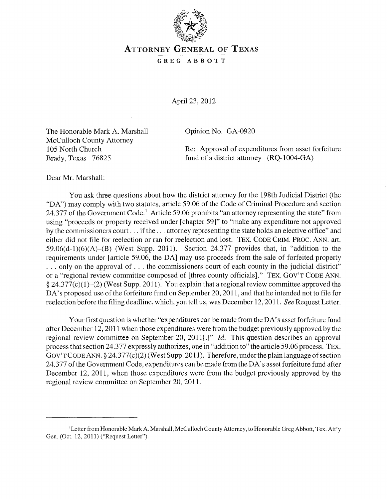

## ATTORNEY GENERAL OF TEXAS

## GREG ABBOTT

April 23, 2012

The Honorable Mark A. Marshall McCulloch County Attorney 105 North Church Brady, Texas 76825

Opinion No. GA-0920

Re: Approval of expenditures from asset forfeiture fund of a district attorney (RQ-1004-GA)

Dear Mr. Marshall:

You ask three questions about how the district attorney for the 198th Judicial District (the "DA") may comply with two statutes, article 59.06 of the Code of Criminal Procedure and section 24.377 of the Government Code.<sup>1</sup> Article 59.06 prohibits "an attorney representing the state" from using "proceeds or property received under [chapter 59]" to "make any expenditure not approved by the commissioners court ... if the ... attorney representing the state holds an elective office" and either did not file for reelection or ran for reelection and lost. TEX. CODE CRIM. PROC. ANN. art.  $59.06(d-1)(6)(A)$ –(B) (West Supp. 2011). Section 24.377 provides that, in "addition to the requirements under [article 59.06, the DA] may use proceeds from the sale of forfeited property ... only on the approval of ... the commissioners court of each county in the judicial district" or a "regional review committee composed of [three county officials]." TEX. GOV'T CODE ANN.  $\S 24.377(c)(1)–(2)$  (West Supp. 2011). You explain that a regional review committee approved the DA's proposed use of the forfeiture fund on September 20, 2011, and that he intended not to file for reelection before the filing deadline, which, you tell us, was December 12, 2011. *See* Request Letter.

Your first question is whether "expenditures can be made from the DA's asset forfeiture fund after December 12, 2011 when those expenditures were from the budget previously approved by the regional review committee on September 20, 2011[.]" *Id.* This question describes an approval process that section 24.377 expressly authorizes, one in "addition to" the article 59.06 process. TEX. GOV'T CODE ANN.  $\S 24.377(c)(2)$  (West Supp. 2011). Therefore, under the plain language of section 24.377 of the Government Code, expenditures can be made from the DA' s asset forfeiture fund after December 12, 2011, when those expenditures were from the budget previously approved by the regional review committee on September 20,2011.

<sup>&</sup>lt;sup>1</sup>Letter from Honorable Mark A. Marshall, McCulloch County Attorney, to Honorable Greg Abbott, Tex. Att'y Gen. (Oct. 12,2011) ("Request Letter").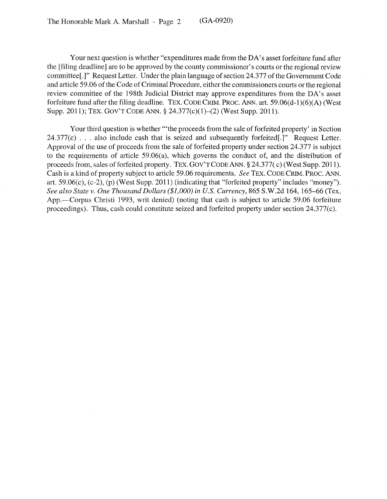Your next question is whether "expenditures made from the DA's asset for feiture fund after the [filing deadline] are to be approved by the county commissioner's courts or the regional review committee[.]" Request Letter. Under the plain language of section 24.377 of the Government Code and article 59.06 of the Code of Criminal Procedure, either the commissioners courts or the regional review committee of the 198th Judicial District may approve expenditures from the DA's asset forfeiture fund after the filing deadline. TEX. CODE CRIM. PROC. ANN. art. 59.06(d-1)(6)(A) (West Supp. 2011); TEX. GOy'T CODE ANN. § 24.377(c)(1)-(2) (West Supp. 2011).

Your third question is whether "'the proceeds from the sale of forfeited property' in Section  $24.377(c)$ ... also include cash that is seized and subsequently forfeited[.]" Request Letter. Approval of the use of proceeds from the sale of forfeited property under section 24.377 is subject to the requirements of article 59.06(a), which governs the conduct of, and the distribution of proceeds from, sales of forfeited property. TEX. GOy'TCODEANN. § 24.377( c) (West Supp. 2011). Cash is akind of property subject to article 59.06 requirements. *See* TEX. CODECRIM. PROC. ANN. art. 59.06(c), (c-2), (p) (West Supp. 2011) (indicating that "forfeited property" includes "money"). *See also State v. One Thousand Dollars (\$1,000) in U.S. Currency,* 865 S.W.2d 164, 165-66 (Tex. App.—Corpus Christi 1993, writ denied) (noting that cash is subject to article 59.06 forfeiture proceedings). Thus, cash could constitute seized and forfeited property under section 24.377(c).